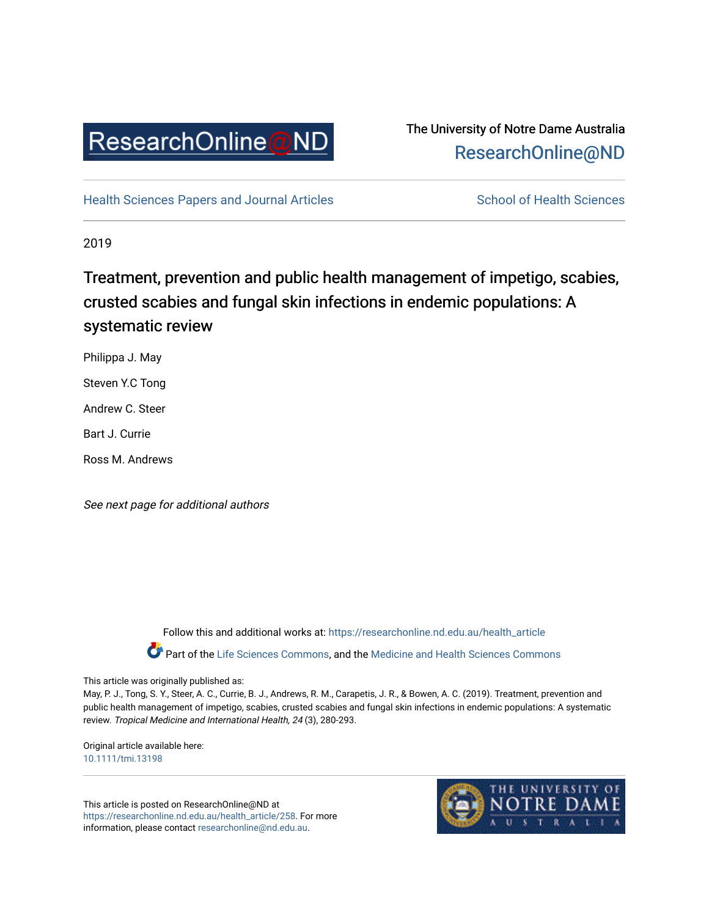

# The University of Notre Dame Australia [ResearchOnline@ND](https://researchonline.nd.edu.au/)

[Health Sciences Papers and Journal Articles](https://researchonline.nd.edu.au/health_article) School of Health Sciences

2019

# Treatment, prevention and public health management of impetigo, scabies, crusted scabies and fungal skin infections in endemic populations: A systematic review

Philippa J. May

Steven Y.C Tong

Andrew C. Steer

Bart J. Currie

Ross M. Andrews

See next page for additional authors

Follow this and additional works at: [https://researchonline.nd.edu.au/health\\_article](https://researchonline.nd.edu.au/health_article?utm_source=researchonline.nd.edu.au%2Fhealth_article%2F258&utm_medium=PDF&utm_campaign=PDFCoverPages)

Part of the [Life Sciences Commons](http://network.bepress.com/hgg/discipline/1016?utm_source=researchonline.nd.edu.au%2Fhealth_article%2F258&utm_medium=PDF&utm_campaign=PDFCoverPages), and the Medicine and Health Sciences Commons

# This article was originally published as:

May, P. J., Tong, S. Y., Steer, A. C., Currie, B. J., Andrews, R. M., Carapetis, J. R., & Bowen, A. C. (2019). Treatment, prevention and public health management of impetigo, scabies, crusted scabies and fungal skin infections in endemic populations: A systematic review. Tropical Medicine and International Health, 24 (3), 280-293.

Original article available here: [10.1111/tmi.13198](https://doi.org/10.1111/tmi.13198)

This article is posted on ResearchOnline@ND at [https://researchonline.nd.edu.au/health\\_article/258](https://researchonline.nd.edu.au/health_article/258). For more information, please contact [researchonline@nd.edu.au.](mailto:researchonline@nd.edu.au)

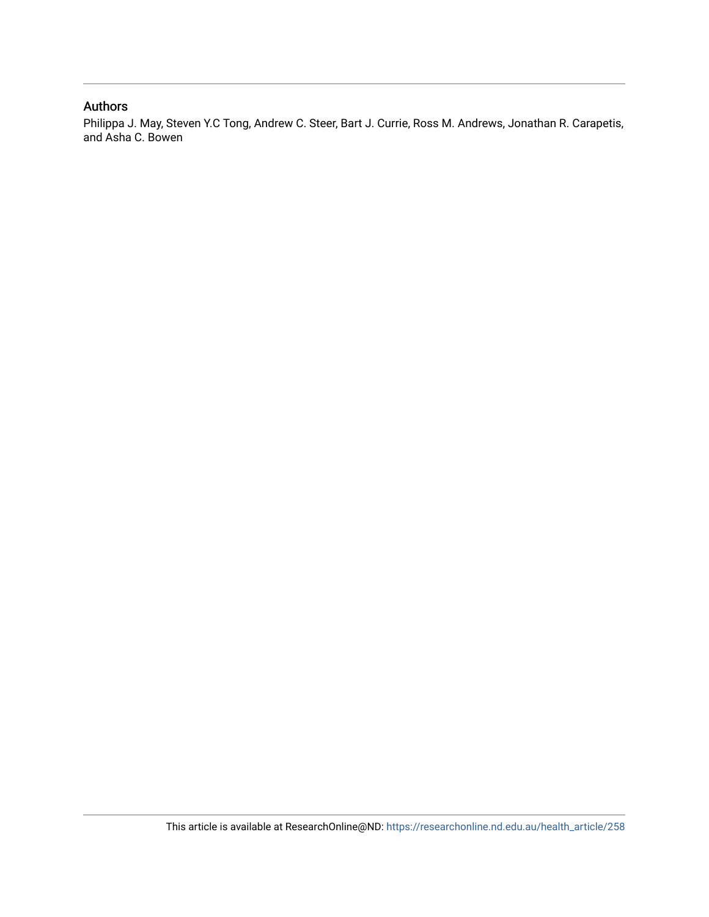# Authors

Philippa J. May, Steven Y.C Tong, Andrew C. Steer, Bart J. Currie, Ross M. Andrews, Jonathan R. Carapetis, and Asha C. Bowen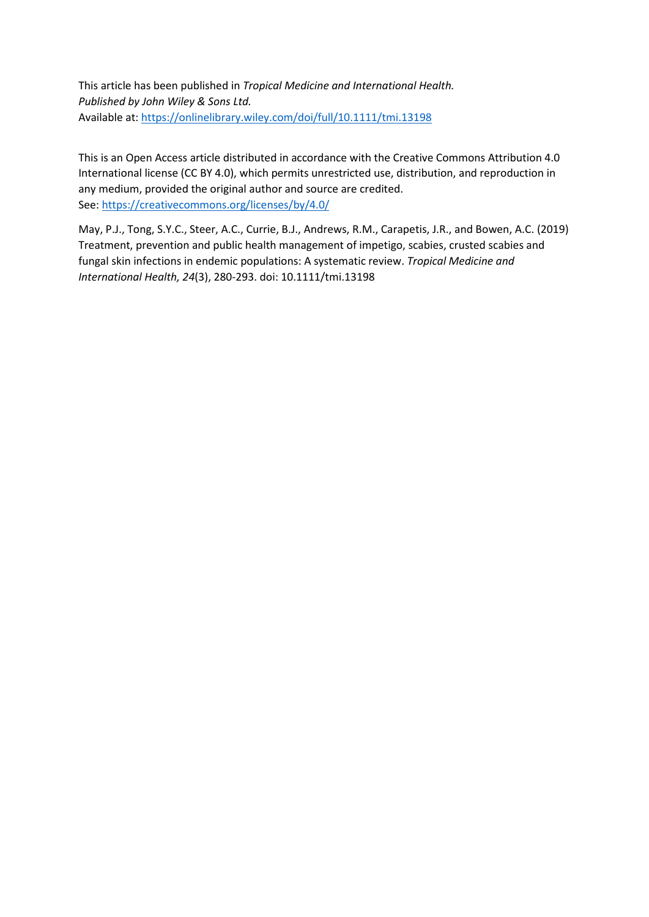This article has been published in *Tropical Medicine and International Health. Published by John Wiley & Sons Ltd.* Available at[: https://onlinelibrary.wiley.com/doi/full/10.1111/tmi.13198](https://onlinelibrary.wiley.com/doi/full/10.1111/tmi.13198)

This is an Open Access article distributed in accordance with the Creative Commons Attribution 4.0 International license (CC BY 4.0), which permits unrestricted use, distribution, and reproduction in any medium, provided the original author and source are credited. See[: https://creativecommons.org/licenses/by/4.0/](https://creativecommons.org/licenses/by/4.0/) 

May, P.J., Tong, S.Y.C., Steer, A.C., Currie, B.J., Andrews, R.M., Carapetis, J.R., and Bowen, A.C. (2019) Treatment, prevention and public health management of impetigo, scabies, crusted scabies and fungal skin infections in endemic populations: A systematic review. *Tropical Medicine and International Health, 24*(3), 280-293. doi: 10.1111/tmi.13198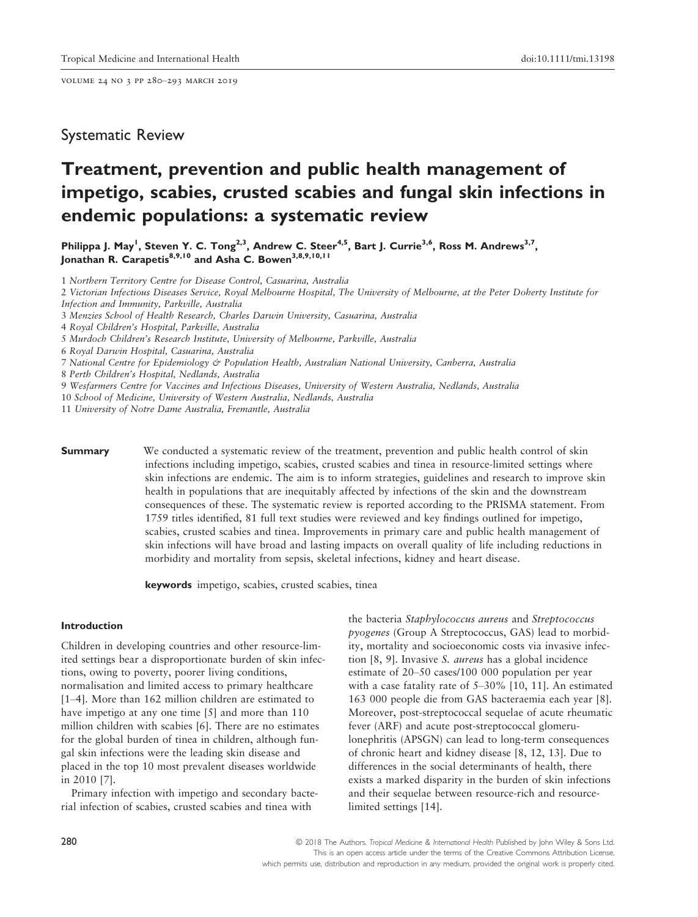volume 24 no 3 pp 280–293 march 2019

# Systematic Review

# Treatment, prevention and public health management of impetigo, scabies, crusted scabies and fungal skin infections in endemic populations: a systematic review

Philippa J. May<sup>1</sup>, Steven Y. C. Tong<sup>2,3</sup>, Andrew C. Steer<sup>4,5</sup>, Bart J. Currie<sup>3,6</sup>, Ross M. Andrews<sup>3,7</sup>, Jonathan R. Carapetis<sup>8,9,10</sup> and Asha C. Bowen<sup>3,8,9,10,11</sup>

1 Northern Territory Centre for Disease Control, Casuarina, Australia

2 Victorian Infectious Diseases Service, Royal Melbourne Hospital, The University of Melbourne, at the Peter Doherty Institute for Infection and Immunity, Parkville, Australia

3 Menzies School of Health Research, Charles Darwin University, Casuarina, Australia

4 Royal Children's Hospital, Parkville, Australia

5 Murdoch Children's Research Institute, University of Melbourne, Parkville, Australia

6 Royal Darwin Hospital, Casuarina, Australia

7 National Centre for Epidemiology & Population Health, Australian National University, Canberra, Australia

- 8 Perth Children's Hospital, Nedlands, Australia
- 9 Wesfarmers Centre for Vaccines and Infectious Diseases, University of Western Australia, Nedlands, Australia

10 School of Medicine, University of Western Australia, Nedlands, Australia

11 University of Notre Dame Australia, Fremantle, Australia

**Summary** We conducted a systematic review of the treatment, prevention and public health control of skin infections including impetigo, scabies, crusted scabies and tinea in resource-limited settings where skin infections are endemic. The aim is to inform strategies, guidelines and research to improve skin health in populations that are inequitably affected by infections of the skin and the downstream consequences of these. The systematic review is reported according to the PRISMA statement. From 1759 titles identified, 81 full text studies were reviewed and key findings outlined for impetigo, scabies, crusted scabies and tinea. Improvements in primary care and public health management of skin infections will have broad and lasting impacts on overall quality of life including reductions in morbidity and mortality from sepsis, skeletal infections, kidney and heart disease.

keywords impetigo, scabies, crusted scabies, tinea

#### Introduction

Children in developing countries and other resource-limited settings bear a disproportionate burden of skin infections, owing to poverty, poorer living conditions, normalisation and limited access to primary healthcare [1–4]. More than 162 million children are estimated to have impetigo at any one time [5] and more than 110 million children with scabies [6]. There are no estimates for the global burden of tinea in children, although fungal skin infections were the leading skin disease and placed in the top 10 most prevalent diseases worldwide in 2010 [7].

Primary infection with impetigo and secondary bacterial infection of scabies, crusted scabies and tinea with

the bacteria Staphylococcus aureus and Streptococcus pyogenes (Group A Streptococcus, GAS) lead to morbidity, mortality and socioeconomic costs via invasive infection [8, 9]. Invasive S. aureus has a global incidence estimate of 20–50 cases/100 000 population per year with a case fatality rate of 5–30% [10, 11]. An estimated 163 000 people die from GAS bacteraemia each year [8]. Moreover, post-streptococcal sequelae of acute rheumatic fever (ARF) and acute post-streptococcal glomerulonephritis (APSGN) can lead to long-term consequences of chronic heart and kidney disease [8, 12, 13]. Due to differences in the social determinants of health, there exists a marked disparity in the burden of skin infections and their sequelae between resource-rich and resourcelimited settings [14].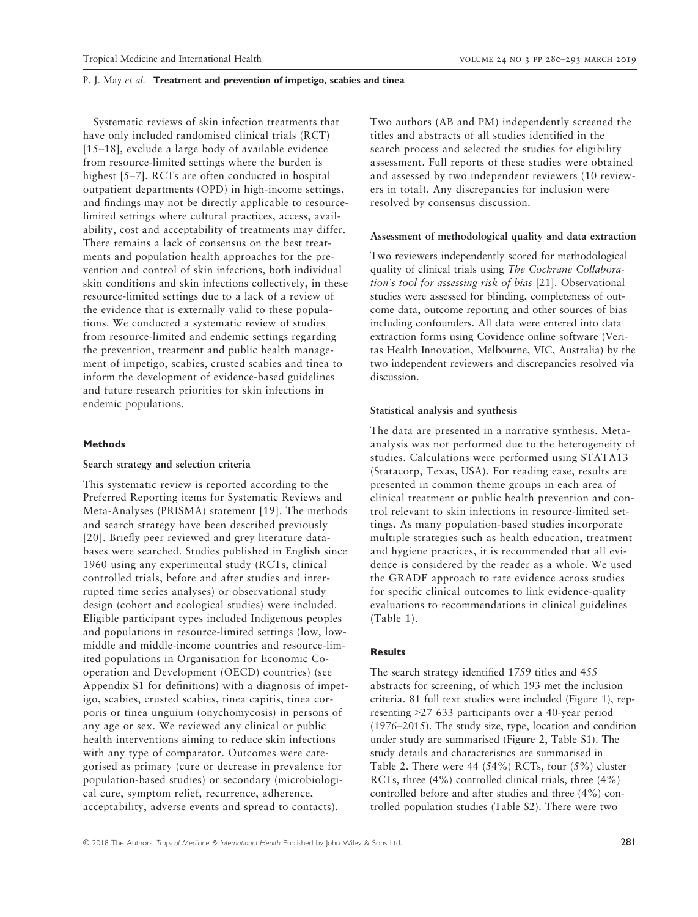Systematic reviews of skin infection treatments that have only included randomised clinical trials (RCT) [15–18], exclude a large body of available evidence from resource-limited settings where the burden is highest [5–7]. RCTs are often conducted in hospital outpatient departments (OPD) in high-income settings, and findings may not be directly applicable to resourcelimited settings where cultural practices, access, availability, cost and acceptability of treatments may differ. There remains a lack of consensus on the best treatments and population health approaches for the prevention and control of skin infections, both individual skin conditions and skin infections collectively, in these resource-limited settings due to a lack of a review of the evidence that is externally valid to these populations. We conducted a systematic review of studies from resource-limited and endemic settings regarding the prevention, treatment and public health management of impetigo, scabies, crusted scabies and tinea to inform the development of evidence-based guidelines and future research priorities for skin infections in endemic populations.

#### Methods

#### Search strategy and selection criteria

This systematic review is reported according to the Preferred Reporting items for Systematic Reviews and Meta-Analyses (PRISMA) statement [19]. The methods and search strategy have been described previously [20]. Briefly peer reviewed and grey literature databases were searched. Studies published in English since 1960 using any experimental study (RCTs, clinical controlled trials, before and after studies and interrupted time series analyses) or observational study design (cohort and ecological studies) were included. Eligible participant types included Indigenous peoples and populations in resource-limited settings (low, lowmiddle and middle-income countries and resource-limited populations in Organisation for Economic Cooperation and Development (OECD) countries) (see Appendix S1 for definitions) with a diagnosis of impetigo, scabies, crusted scabies, tinea capitis, tinea corporis or tinea unguium (onychomycosis) in persons of any age or sex. We reviewed any clinical or public health interventions aiming to reduce skin infections with any type of comparator. Outcomes were categorised as primary (cure or decrease in prevalence for population-based studies) or secondary (microbiological cure, symptom relief, recurrence, adherence, acceptability, adverse events and spread to contacts).

Two authors (AB and PM) independently screened the titles and abstracts of all studies identified in the search process and selected the studies for eligibility assessment. Full reports of these studies were obtained and assessed by two independent reviewers (10 reviewers in total). Any discrepancies for inclusion were resolved by consensus discussion.

#### Assessment of methodological quality and data extraction

Two reviewers independently scored for methodological quality of clinical trials using The Cochrane Collaboration's tool for assessing risk of bias [21]. Observational studies were assessed for blinding, completeness of outcome data, outcome reporting and other sources of bias including confounders. All data were entered into data extraction forms using Covidence online software (Veritas Health Innovation, Melbourne, VIC, Australia) by the two independent reviewers and discrepancies resolved via discussion.

#### Statistical analysis and synthesis

The data are presented in a narrative synthesis. Metaanalysis was not performed due to the heterogeneity of studies. Calculations were performed using STATA13 (Statacorp, Texas, USA). For reading ease, results are presented in common theme groups in each area of clinical treatment or public health prevention and control relevant to skin infections in resource-limited settings. As many population-based studies incorporate multiple strategies such as health education, treatment and hygiene practices, it is recommended that all evidence is considered by the reader as a whole. We used the GRADE approach to rate evidence across studies for specific clinical outcomes to link evidence-quality evaluations to recommendations in clinical guidelines (Table 1).

# **Results**

The search strategy identified 1759 titles and 455 abstracts for screening, of which 193 met the inclusion criteria. 81 full text studies were included (Figure 1), representing >27 633 participants over a 40-year period (1976–2015). The study size, type, location and condition under study are summarised (Figure 2, Table S1). The study details and characteristics are summarised in Table 2. There were 44 (54%) RCTs, four (5%) cluster RCTs, three (4%) controlled clinical trials, three (4%) controlled before and after studies and three (4%) controlled population studies (Table S2). There were two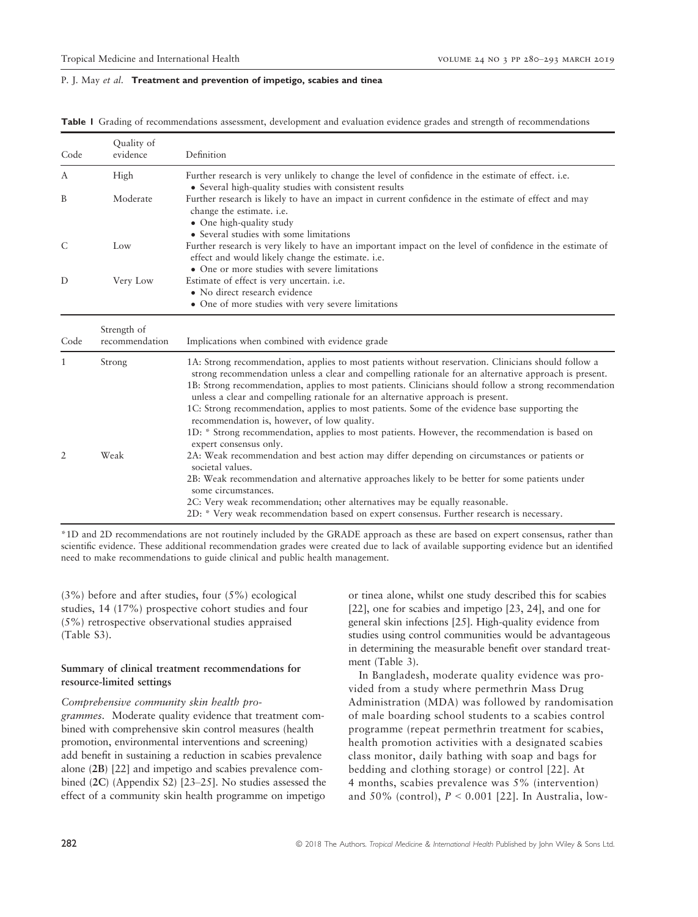|  | Table I Grading of recommendations assessment, development and evaluation evidence grades and strength of recommendations |  |  |  |  |  |
|--|---------------------------------------------------------------------------------------------------------------------------|--|--|--|--|--|
|--|---------------------------------------------------------------------------------------------------------------------------|--|--|--|--|--|

| Code | Quality of<br>evidence        | Definition                                                                                                                                                                                                                                                                                                                                                                                                                                                                                                                                                                                                                                                                           |  |  |  |  |
|------|-------------------------------|--------------------------------------------------------------------------------------------------------------------------------------------------------------------------------------------------------------------------------------------------------------------------------------------------------------------------------------------------------------------------------------------------------------------------------------------------------------------------------------------------------------------------------------------------------------------------------------------------------------------------------------------------------------------------------------|--|--|--|--|
| A    | High                          | Further research is very unlikely to change the level of confidence in the estimate of effect. i.e.<br>• Several high-quality studies with consistent results                                                                                                                                                                                                                                                                                                                                                                                                                                                                                                                        |  |  |  |  |
| B    | Moderate                      | Further research is likely to have an impact in current confidence in the estimate of effect and may<br>change the estimate. i.e.<br>• One high-quality study<br>• Several studies with some limitations                                                                                                                                                                                                                                                                                                                                                                                                                                                                             |  |  |  |  |
| C    | Low                           | Further research is very likely to have an important impact on the level of confidence in the estimate of<br>effect and would likely change the estimate. i.e.<br>• One or more studies with severe limitations                                                                                                                                                                                                                                                                                                                                                                                                                                                                      |  |  |  |  |
| D    | Very Low                      | Estimate of effect is very uncertain. <i>i.e.</i><br>• No direct research evidence<br>• One of more studies with very severe limitations                                                                                                                                                                                                                                                                                                                                                                                                                                                                                                                                             |  |  |  |  |
| Code | Strength of<br>recommendation | Implications when combined with evidence grade                                                                                                                                                                                                                                                                                                                                                                                                                                                                                                                                                                                                                                       |  |  |  |  |
| 1    | Strong                        | 1A: Strong recommendation, applies to most patients without reservation. Clinicians should follow a<br>strong recommendation unless a clear and compelling rationale for an alternative approach is present.<br>1B: Strong recommendation, applies to most patients. Clinicians should follow a strong recommendation<br>unless a clear and compelling rationale for an alternative approach is present.<br>1C: Strong recommendation, applies to most patients. Some of the evidence base supporting the<br>recommendation is, however, of low quality.<br>1D: * Strong recommendation, applies to most patients. However, the recommendation is based on<br>expert consensus only. |  |  |  |  |
| 2    | Weak                          | 2A: Weak recommendation and best action may differ depending on circumstances or patients or<br>societal values.<br>2B: Weak recommendation and alternative approaches likely to be better for some patients under<br>some circumstances.<br>2C: Very weak recommendation; other alternatives may be equally reasonable.<br>2D: * Very weak recommendation based on expert consensus. Further research is necessary.                                                                                                                                                                                                                                                                 |  |  |  |  |

\*1D and 2D recommendations are not routinely included by the GRADE approach as these are based on expert consensus, rather than scientific evidence. These additional recommendation grades were created due to lack of available supporting evidence but an identified need to make recommendations to guide clinical and public health management.

(3%) before and after studies, four (5%) ecological studies, 14 (17%) prospective cohort studies and four (5%) retrospective observational studies appraised (Table S3).

## Summary of clinical treatment recommendations for resource-limited settings

### Comprehensive community skin health pro-

grammes. Moderate quality evidence that treatment combined with comprehensive skin control measures (health promotion, environmental interventions and screening) add benefit in sustaining a reduction in scabies prevalence alone (2B) [22] and impetigo and scabies prevalence combined (2C) (Appendix S2) [23–25]. No studies assessed the effect of a community skin health programme on impetigo or tinea alone, whilst one study described this for scabies [22], one for scabies and impetigo [23, 24], and one for general skin infections [25]. High-quality evidence from studies using control communities would be advantageous in determining the measurable benefit over standard treatment (Table 3).

In Bangladesh, moderate quality evidence was provided from a study where permethrin Mass Drug Administration (MDA) was followed by randomisation of male boarding school students to a scabies control programme (repeat permethrin treatment for scabies, health promotion activities with a designated scabies class monitor, daily bathing with soap and bags for bedding and clothing storage) or control [22]. At 4 months, scabies prevalence was 5% (intervention) and 50% (control),  $P < 0.001$  [22]. In Australia, low-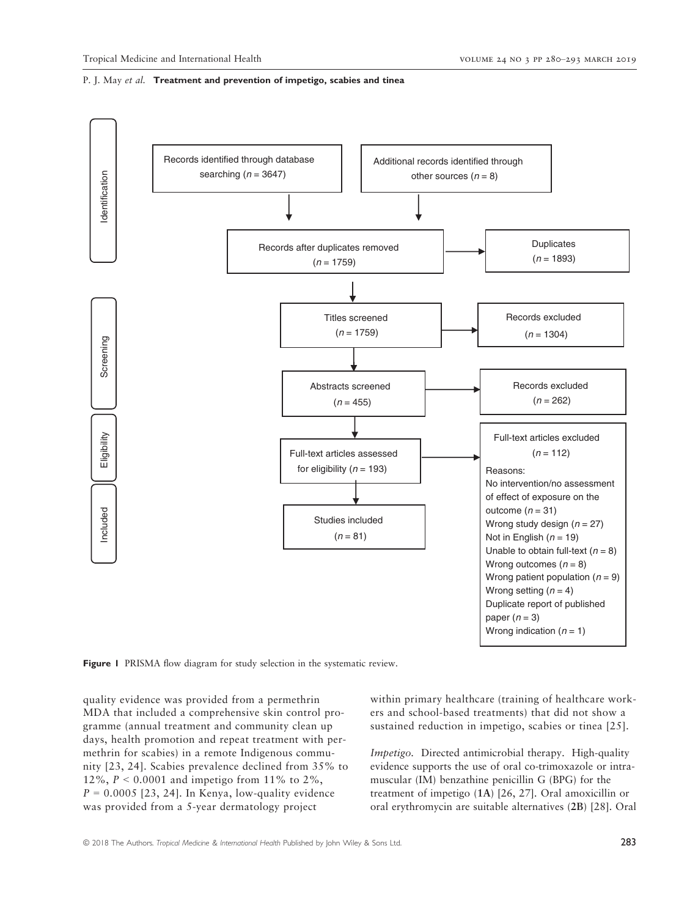

Figure 1 PRISMA flow diagram for study selection in the systematic review.

quality evidence was provided from a permethrin MDA that included a comprehensive skin control programme (annual treatment and community clean up days, health promotion and repeat treatment with permethrin for scabies) in a remote Indigenous community [23, 24]. Scabies prevalence declined from 35% to 12%,  $P < 0.0001$  and impetigo from 11% to 2%,  $P = 0.0005$  [23, 24]. In Kenya, low-quality evidence was provided from a 5-year dermatology project

within primary healthcare (training of healthcare workers and school-based treatments) that did not show a sustained reduction in impetigo, scabies or tinea [25].

Impetigo. Directed antimicrobial therapy. High-quality evidence supports the use of oral co-trimoxazole or intramuscular (IM) benzathine penicillin G (BPG) for the treatment of impetigo (1A) [26, 27]. Oral amoxicillin or oral erythromycin are suitable alternatives (2B) [28]. Oral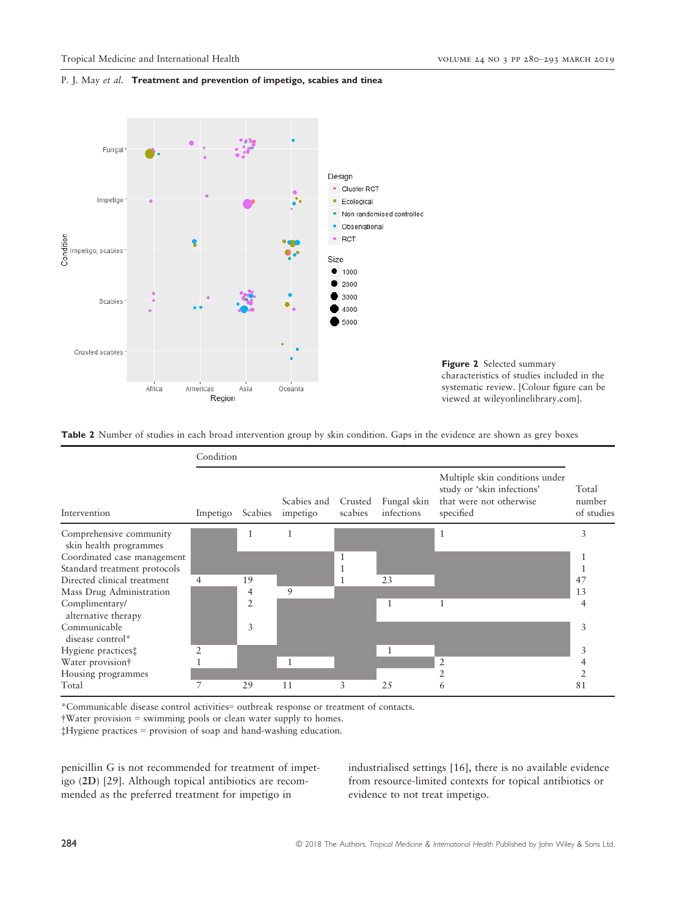



Table 2 Number of studies in each broad intervention group by skin condition. Gaps in the evidence are shown as grey boxes



\*Communicable disease control activities= outbreak response or treatment of contacts.

†Water provision = swimming pools or clean water supply to homes.

‡Hygiene practices = provision of soap and hand-washing education.

penicillin G is not recommended for treatment of impetigo (2D) [29]. Although topical antibiotics are recommended as the preferred treatment for impetigo in

industrialised settings [16], there is no available evidence from resource-limited contexts for topical antibiotics or evidence to not treat impetigo.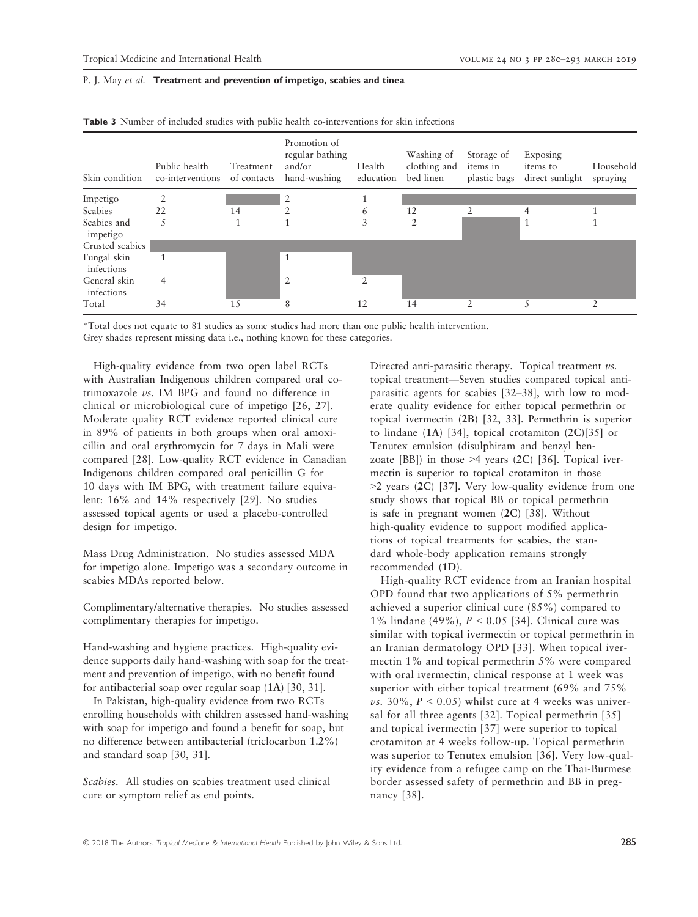| Skin condition             | Public health<br>co-interventions | Treatment<br>of contacts | Promotion of<br>regular bathing<br>and/or<br>hand-washing | Health<br>education | Washing of<br>clothing and<br>bed linen | Storage of<br>items in<br>plastic bags | Exposing<br>items to<br>direct sunlight | Household<br>spraying |
|----------------------------|-----------------------------------|--------------------------|-----------------------------------------------------------|---------------------|-----------------------------------------|----------------------------------------|-----------------------------------------|-----------------------|
| Impetigo                   |                                   |                          | $\overline{2}$                                            |                     |                                         |                                        |                                         |                       |
| Scabies                    | 22                                | 14                       |                                                           | 6                   | 12                                      |                                        | 4                                       |                       |
| Scabies and<br>impetigo    |                                   |                          |                                                           | 3                   | $\overline{2}$                          |                                        | 1                                       |                       |
| Crusted scabies            |                                   |                          |                                                           |                     |                                         |                                        |                                         |                       |
| Fungal skin<br>infections  |                                   |                          | -1                                                        |                     |                                         |                                        |                                         |                       |
| General skin<br>infections | 4                                 |                          | $\overline{2}$                                            |                     |                                         |                                        |                                         |                       |
| Total                      | 34                                | 15                       | 8                                                         | 12                  | 14                                      | 2                                      |                                         |                       |

Table 3 Number of included studies with public health co-interventions for skin infections

\*Total does not equate to 81 studies as some studies had more than one public health intervention.

Grey shades represent missing data i.e., nothing known for these categories.

High-quality evidence from two open label RCTs with Australian Indigenous children compared oral cotrimoxazole vs. IM BPG and found no difference in clinical or microbiological cure of impetigo [26, 27]. Moderate quality RCT evidence reported clinical cure in 89% of patients in both groups when oral amoxicillin and oral erythromycin for 7 days in Mali were compared [28]. Low-quality RCT evidence in Canadian Indigenous children compared oral penicillin G for 10 days with IM BPG, with treatment failure equivalent: 16% and 14% respectively [29]. No studies assessed topical agents or used a placebo-controlled design for impetigo.

Mass Drug Administration. No studies assessed MDA for impetigo alone. Impetigo was a secondary outcome in scabies MDAs reported below.

Complimentary/alternative therapies. No studies assessed complimentary therapies for impetigo.

Hand-washing and hygiene practices. High-quality evidence supports daily hand-washing with soap for the treatment and prevention of impetigo, with no benefit found for antibacterial soap over regular soap (1A) [30, 31].

In Pakistan, high-quality evidence from two RCTs enrolling households with children assessed hand-washing with soap for impetigo and found a benefit for soap, but no difference between antibacterial (triclocarbon 1.2%) and standard soap [30, 31].

Scabies. All studies on scabies treatment used clinical cure or symptom relief as end points.

Directed anti-parasitic therapy. Topical treatment vs. topical treatment—Seven studies compared topical antiparasitic agents for scabies [32–38], with low to moderate quality evidence for either topical permethrin or topical ivermectin (2B) [32, 33]. Permethrin is superior to lindane  $(1A)$  [34], topical crotamiton  $(2C)[35]$  or Tenutex emulsion (disulphiram and benzyl benzoate [BB]) in those  $>4$  years (2C) [36]. Topical ivermectin is superior to topical crotamiton in those >2 years (2C) [37]. Very low-quality evidence from one study shows that topical BB or topical permethrin is safe in pregnant women (2C) [38]. Without high-quality evidence to support modified applications of topical treatments for scabies, the standard whole-body application remains strongly recommended (1D).

High-quality RCT evidence from an Iranian hospital OPD found that two applications of 5% permethrin achieved a superior clinical cure (85%) compared to 1% lindane (49%), P < 0.05 [34]. Clinical cure was similar with topical ivermectin or topical permethrin in an Iranian dermatology OPD [33]. When topical ivermectin 1% and topical permethrin 5% were compared with oral ivermectin, clinical response at 1 week was superior with either topical treatment (69% and 75% vs. 30%,  $P < 0.05$ ) whilst cure at 4 weeks was universal for all three agents [32]. Topical permethrin [35] and topical ivermectin [37] were superior to topical crotamiton at 4 weeks follow-up. Topical permethrin was superior to Tenutex emulsion [36]. Very low-quality evidence from a refugee camp on the Thai-Burmese border assessed safety of permethrin and BB in pregnancy [38].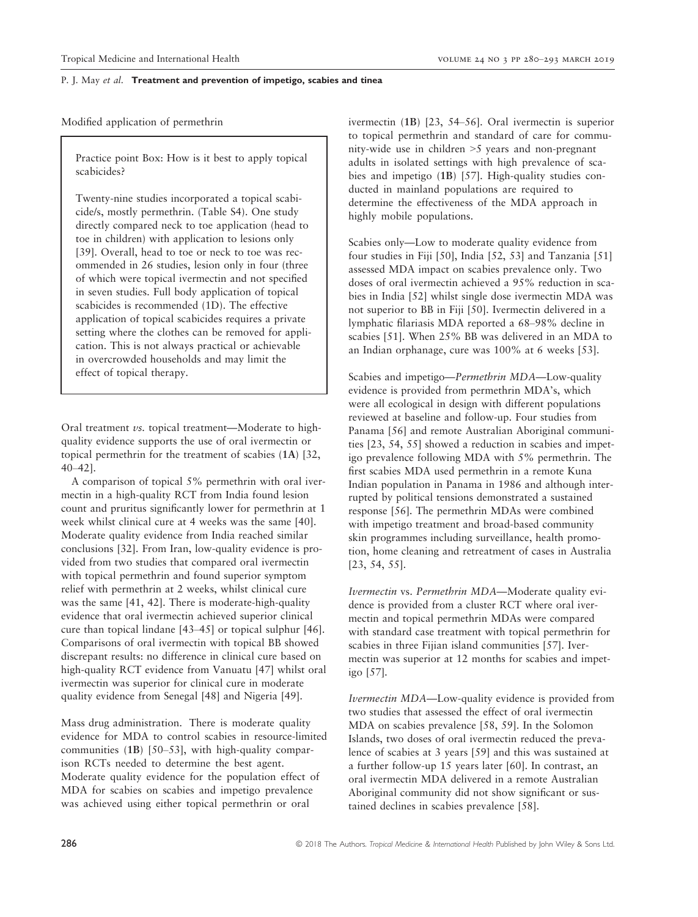Modified application of permethrin

Practice point Box: How is it best to apply topical scabicides?

Twenty-nine studies incorporated a topical scabicide/s, mostly permethrin. (Table S4). One study directly compared neck to toe application (head to toe in children) with application to lesions only [39]. Overall, head to toe or neck to toe was recommended in 26 studies, lesion only in four (three of which were topical ivermectin and not specified in seven studies. Full body application of topical scabicides is recommended (1D). The effective application of topical scabicides requires a private setting where the clothes can be removed for application. This is not always practical or achievable in overcrowded households and may limit the effect of topical therapy.

Oral treatment vs. topical treatment—Moderate to highquality evidence supports the use of oral ivermectin or topical permethrin for the treatment of scabies (1A) [32, 40–42].

A comparison of topical 5% permethrin with oral ivermectin in a high-quality RCT from India found lesion count and pruritus significantly lower for permethrin at 1 week whilst clinical cure at 4 weeks was the same [40]. Moderate quality evidence from India reached similar conclusions [32]. From Iran, low-quality evidence is provided from two studies that compared oral ivermectin with topical permethrin and found superior symptom relief with permethrin at 2 weeks, whilst clinical cure was the same [41, 42]. There is moderate-high-quality evidence that oral ivermectin achieved superior clinical cure than topical lindane [43–45] or topical sulphur [46]. Comparisons of oral ivermectin with topical BB showed discrepant results: no difference in clinical cure based on high-quality RCT evidence from Vanuatu [47] whilst oral ivermectin was superior for clinical cure in moderate quality evidence from Senegal [48] and Nigeria [49].

Mass drug administration. There is moderate quality evidence for MDA to control scabies in resource-limited communities (1B) [50–53], with high-quality comparison RCTs needed to determine the best agent. Moderate quality evidence for the population effect of MDA for scabies on scabies and impetigo prevalence was achieved using either topical permethrin or oral

ivermectin (1B) [23, 54–56]. Oral ivermectin is superior to topical permethrin and standard of care for community-wide use in children >5 years and non-pregnant adults in isolated settings with high prevalence of scabies and impetigo (1B) [57]. High-quality studies conducted in mainland populations are required to determine the effectiveness of the MDA approach in highly mobile populations.

Scabies only—Low to moderate quality evidence from four studies in Fiji [50], India [52, 53] and Tanzania [51] assessed MDA impact on scabies prevalence only. Two doses of oral ivermectin achieved a 95% reduction in scabies in India [52] whilst single dose ivermectin MDA was not superior to BB in Fiji [50]. Ivermectin delivered in a lymphatic filariasis MDA reported a 68–98% decline in scabies [51]. When 25% BB was delivered in an MDA to an Indian orphanage, cure was 100% at 6 weeks [53].

Scabies and impetigo—Permethrin MDA—Low-quality evidence is provided from permethrin MDA's, which were all ecological in design with different populations reviewed at baseline and follow-up. Four studies from Panama [56] and remote Australian Aboriginal communities [23, 54, 55] showed a reduction in scabies and impetigo prevalence following MDA with 5% permethrin. The first scabies MDA used permethrin in a remote Kuna Indian population in Panama in 1986 and although interrupted by political tensions demonstrated a sustained response [56]. The permethrin MDAs were combined with impetigo treatment and broad-based community skin programmes including surveillance, health promotion, home cleaning and retreatment of cases in Australia [23, 54, 55].

Ivermectin vs. Permethrin MDA—Moderate quality evidence is provided from a cluster RCT where oral ivermectin and topical permethrin MDAs were compared with standard case treatment with topical permethrin for scabies in three Fijian island communities [57]. Ivermectin was superior at 12 months for scabies and impetigo [57].

Ivermectin MDA—Low-quality evidence is provided from two studies that assessed the effect of oral ivermectin MDA on scabies prevalence [58, 59]. In the Solomon Islands, two doses of oral ivermectin reduced the prevalence of scabies at 3 years [59] and this was sustained at a further follow-up 15 years later [60]. In contrast, an oral ivermectin MDA delivered in a remote Australian Aboriginal community did not show significant or sustained declines in scabies prevalence [58].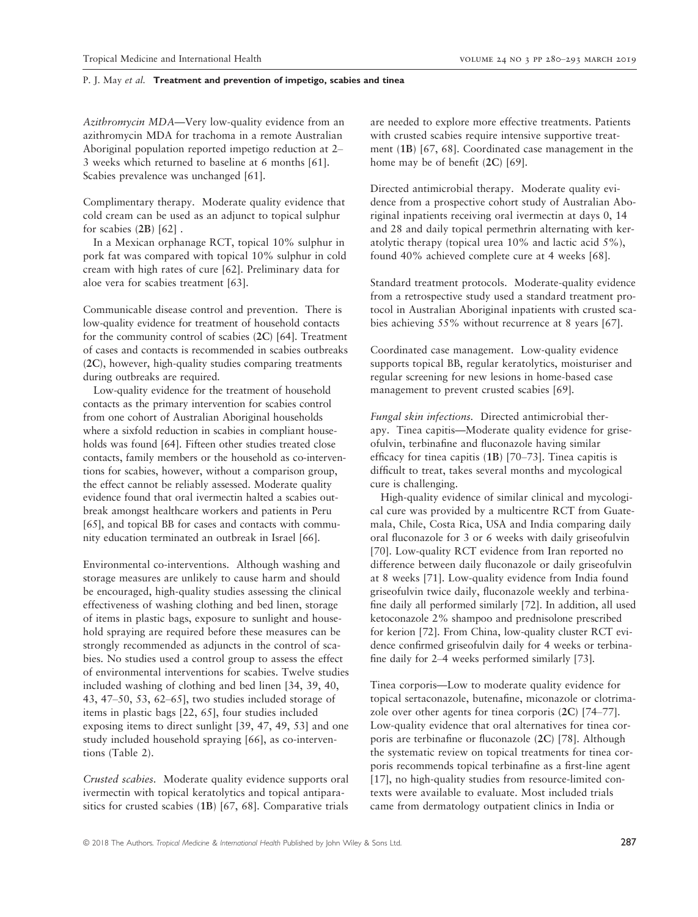Azithromycin MDA—Very low-quality evidence from an azithromycin MDA for trachoma in a remote Australian Aboriginal population reported impetigo reduction at 2– 3 weeks which returned to baseline at 6 months [61]. Scabies prevalence was unchanged [61].

Complimentary therapy. Moderate quality evidence that cold cream can be used as an adjunct to topical sulphur for scabies (2B) [62] .

In a Mexican orphanage RCT, topical 10% sulphur in pork fat was compared with topical 10% sulphur in cold cream with high rates of cure [62]. Preliminary data for aloe vera for scabies treatment [63].

Communicable disease control and prevention. There is low-quality evidence for treatment of household contacts for the community control of scabies (2C) [64]. Treatment of cases and contacts is recommended in scabies outbreaks (2C), however, high-quality studies comparing treatments during outbreaks are required.

Low-quality evidence for the treatment of household contacts as the primary intervention for scabies control from one cohort of Australian Aboriginal households where a sixfold reduction in scabies in compliant households was found [64]. Fifteen other studies treated close contacts, family members or the household as co-interventions for scabies, however, without a comparison group, the effect cannot be reliably assessed. Moderate quality evidence found that oral ivermectin halted a scabies outbreak amongst healthcare workers and patients in Peru [65], and topical BB for cases and contacts with community education terminated an outbreak in Israel [66].

Environmental co-interventions. Although washing and storage measures are unlikely to cause harm and should be encouraged, high-quality studies assessing the clinical effectiveness of washing clothing and bed linen, storage of items in plastic bags, exposure to sunlight and household spraying are required before these measures can be strongly recommended as adjuncts in the control of scabies. No studies used a control group to assess the effect of environmental interventions for scabies. Twelve studies included washing of clothing and bed linen [34, 39, 40, 43, 47–50, 53, 62–65], two studies included storage of items in plastic bags [22, 65], four studies included exposing items to direct sunlight [39, 47, 49, 53] and one study included household spraying [66], as co-interventions (Table 2).

Crusted scabies. Moderate quality evidence supports oral ivermectin with topical keratolytics and topical antiparasitics for crusted scabies (1B) [67, 68]. Comparative trials are needed to explore more effective treatments. Patients with crusted scabies require intensive supportive treatment (1B) [67, 68]. Coordinated case management in the home may be of benefit (2C) [69].

Directed antimicrobial therapy. Moderate quality evidence from a prospective cohort study of Australian Aboriginal inpatients receiving oral ivermectin at days 0, 14 and 28 and daily topical permethrin alternating with keratolytic therapy (topical urea 10% and lactic acid 5%), found 40% achieved complete cure at 4 weeks [68].

Standard treatment protocols. Moderate-quality evidence from a retrospective study used a standard treatment protocol in Australian Aboriginal inpatients with crusted scabies achieving 55% without recurrence at 8 years [67].

Coordinated case management. Low-quality evidence supports topical BB, regular keratolytics, moisturiser and regular screening for new lesions in home-based case management to prevent crusted scabies [69].

Fungal skin infections. Directed antimicrobial therapy. Tinea capitis—Moderate quality evidence for griseofulvin, terbinafine and fluconazole having similar efficacy for tinea capitis (1B) [70–73]. Tinea capitis is difficult to treat, takes several months and mycological cure is challenging.

High-quality evidence of similar clinical and mycological cure was provided by a multicentre RCT from Guatemala, Chile, Costa Rica, USA and India comparing daily oral fluconazole for 3 or 6 weeks with daily griseofulvin [70]. Low-quality RCT evidence from Iran reported no difference between daily fluconazole or daily griseofulvin at 8 weeks [71]. Low-quality evidence from India found griseofulvin twice daily, fluconazole weekly and terbinafine daily all performed similarly [72]. In addition, all used ketoconazole 2% shampoo and prednisolone prescribed for kerion [72]. From China, low-quality cluster RCT evidence confirmed griseofulvin daily for 4 weeks or terbinafine daily for 2–4 weeks performed similarly [73].

Tinea corporis—Low to moderate quality evidence for topical sertaconazole, butenafine, miconazole or clotrimazole over other agents for tinea corporis (2C) [74–77]. Low-quality evidence that oral alternatives for tinea corporis are terbinafine or fluconazole (2C) [78]. Although the systematic review on topical treatments for tinea corporis recommends topical terbinafine as a first-line agent [17], no high-quality studies from resource-limited contexts were available to evaluate. Most included trials came from dermatology outpatient clinics in India or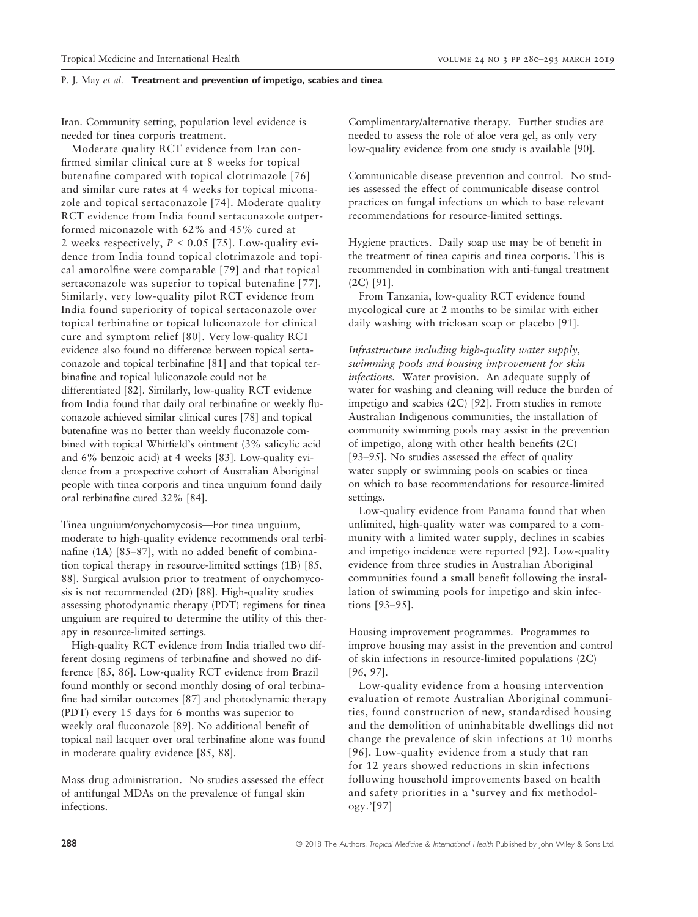Iran. Community setting, population level evidence is needed for tinea corporis treatment.

Moderate quality RCT evidence from Iran confirmed similar clinical cure at 8 weeks for topical butenafine compared with topical clotrimazole [76] and similar cure rates at 4 weeks for topical miconazole and topical sertaconazole [74]. Moderate quality RCT evidence from India found sertaconazole outperformed miconazole with 62% and 45% cured at 2 weeks respectively,  $P < 0.05$  [75]. Low-quality evidence from India found topical clotrimazole and topical amorolfine were comparable [79] and that topical sertaconazole was superior to topical butenafine [77]. Similarly, very low-quality pilot RCT evidence from India found superiority of topical sertaconazole over topical terbinafine or topical luliconazole for clinical cure and symptom relief [80]. Very low-quality RCT evidence also found no difference between topical sertaconazole and topical terbinafine [81] and that topical terbinafine and topical luliconazole could not be differentiated [82]. Similarly, low-quality RCT evidence from India found that daily oral terbinafine or weekly fluconazole achieved similar clinical cures [78] and topical butenafine was no better than weekly fluconazole combined with topical Whitfield's ointment (3% salicylic acid and 6% benzoic acid) at 4 weeks [83]. Low-quality evidence from a prospective cohort of Australian Aboriginal people with tinea corporis and tinea unguium found daily oral terbinafine cured 32% [84].

Tinea unguium/onychomycosis—For tinea unguium, moderate to high-quality evidence recommends oral terbinafine (1A) [85–87], with no added benefit of combination topical therapy in resource-limited settings (1B) [85, 88]. Surgical avulsion prior to treatment of onychomycosis is not recommended (2D) [88]. High-quality studies assessing photodynamic therapy (PDT) regimens for tinea unguium are required to determine the utility of this therapy in resource-limited settings.

High-quality RCT evidence from India trialled two different dosing regimens of terbinafine and showed no difference [85, 86]. Low-quality RCT evidence from Brazil found monthly or second monthly dosing of oral terbinafine had similar outcomes [87] and photodynamic therapy (PDT) every 15 days for 6 months was superior to weekly oral fluconazole [89]. No additional benefit of topical nail lacquer over oral terbinafine alone was found in moderate quality evidence [85, 88].

Mass drug administration. No studies assessed the effect of antifungal MDAs on the prevalence of fungal skin infections.

Complimentary/alternative therapy. Further studies are needed to assess the role of aloe vera gel, as only very low-quality evidence from one study is available [90].

Communicable disease prevention and control. No studies assessed the effect of communicable disease control practices on fungal infections on which to base relevant recommendations for resource-limited settings.

Hygiene practices. Daily soap use may be of benefit in the treatment of tinea capitis and tinea corporis. This is recommended in combination with anti-fungal treatment (2C) [91].

From Tanzania, low-quality RCT evidence found mycological cure at 2 months to be similar with either daily washing with triclosan soap or placebo [91].

Infrastructure including high-quality water supply, swimming pools and housing improvement for skin infections. Water provision. An adequate supply of water for washing and cleaning will reduce the burden of impetigo and scabies (2C) [92]. From studies in remote Australian Indigenous communities, the installation of community swimming pools may assist in the prevention of impetigo, along with other health benefits (2C) [93–95]. No studies assessed the effect of quality water supply or swimming pools on scabies or tinea on which to base recommendations for resource-limited settings.

Low-quality evidence from Panama found that when unlimited, high-quality water was compared to a community with a limited water supply, declines in scabies and impetigo incidence were reported [92]. Low-quality evidence from three studies in Australian Aboriginal communities found a small benefit following the installation of swimming pools for impetigo and skin infections [93–95].

Housing improvement programmes. Programmes to improve housing may assist in the prevention and control of skin infections in resource-limited populations (2C) [96, 97].

Low-quality evidence from a housing intervention evaluation of remote Australian Aboriginal communities, found construction of new, standardised housing and the demolition of uninhabitable dwellings did not change the prevalence of skin infections at 10 months [96]. Low-quality evidence from a study that ran for 12 years showed reductions in skin infections following household improvements based on health and safety priorities in a 'survey and fix methodology.'[97]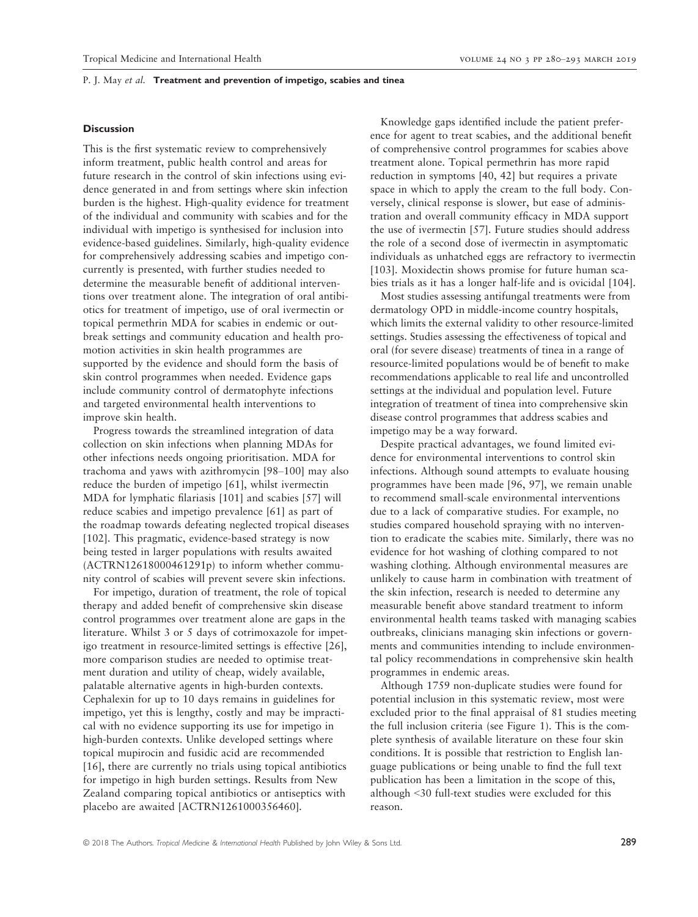#### **Discussion**

This is the first systematic review to comprehensively inform treatment, public health control and areas for future research in the control of skin infections using evidence generated in and from settings where skin infection burden is the highest. High-quality evidence for treatment of the individual and community with scabies and for the individual with impetigo is synthesised for inclusion into evidence-based guidelines. Similarly, high-quality evidence for comprehensively addressing scabies and impetigo concurrently is presented, with further studies needed to determine the measurable benefit of additional interventions over treatment alone. The integration of oral antibiotics for treatment of impetigo, use of oral ivermectin or topical permethrin MDA for scabies in endemic or outbreak settings and community education and health promotion activities in skin health programmes are supported by the evidence and should form the basis of skin control programmes when needed. Evidence gaps include community control of dermatophyte infections and targeted environmental health interventions to improve skin health.

Progress towards the streamlined integration of data collection on skin infections when planning MDAs for other infections needs ongoing prioritisation. MDA for trachoma and yaws with azithromycin [98–100] may also reduce the burden of impetigo [61], whilst ivermectin MDA for lymphatic filariasis [101] and scabies [57] will reduce scabies and impetigo prevalence [61] as part of the roadmap towards defeating neglected tropical diseases [102]. This pragmatic, evidence-based strategy is now being tested in larger populations with results awaited (ACTRN12618000461291p) to inform whether community control of scabies will prevent severe skin infections.

For impetigo, duration of treatment, the role of topical therapy and added benefit of comprehensive skin disease control programmes over treatment alone are gaps in the literature. Whilst 3 or 5 days of cotrimoxazole for impetigo treatment in resource-limited settings is effective [26], more comparison studies are needed to optimise treatment duration and utility of cheap, widely available, palatable alternative agents in high-burden contexts. Cephalexin for up to 10 days remains in guidelines for impetigo, yet this is lengthy, costly and may be impractical with no evidence supporting its use for impetigo in high-burden contexts. Unlike developed settings where topical mupirocin and fusidic acid are recommended [16], there are currently no trials using topical antibiotics for impetigo in high burden settings. Results from New Zealand comparing topical antibiotics or antiseptics with placebo are awaited [ACTRN1261000356460].

Knowledge gaps identified include the patient preference for agent to treat scabies, and the additional benefit of comprehensive control programmes for scabies above treatment alone. Topical permethrin has more rapid reduction in symptoms [40, 42] but requires a private space in which to apply the cream to the full body. Conversely, clinical response is slower, but ease of administration and overall community efficacy in MDA support the use of ivermectin [57]. Future studies should address the role of a second dose of ivermectin in asymptomatic individuals as unhatched eggs are refractory to ivermectin [103]. Moxidectin shows promise for future human scabies trials as it has a longer half-life and is ovicidal [104].

Most studies assessing antifungal treatments were from dermatology OPD in middle-income country hospitals, which limits the external validity to other resource-limited settings. Studies assessing the effectiveness of topical and oral (for severe disease) treatments of tinea in a range of resource-limited populations would be of benefit to make recommendations applicable to real life and uncontrolled settings at the individual and population level. Future integration of treatment of tinea into comprehensive skin disease control programmes that address scabies and impetigo may be a way forward.

Despite practical advantages, we found limited evidence for environmental interventions to control skin infections. Although sound attempts to evaluate housing programmes have been made [96, 97], we remain unable to recommend small-scale environmental interventions due to a lack of comparative studies. For example, no studies compared household spraying with no intervention to eradicate the scabies mite. Similarly, there was no evidence for hot washing of clothing compared to not washing clothing. Although environmental measures are unlikely to cause harm in combination with treatment of the skin infection, research is needed to determine any measurable benefit above standard treatment to inform environmental health teams tasked with managing scabies outbreaks, clinicians managing skin infections or governments and communities intending to include environmental policy recommendations in comprehensive skin health programmes in endemic areas.

Although 1759 non-duplicate studies were found for potential inclusion in this systematic review, most were excluded prior to the final appraisal of 81 studies meeting the full inclusion criteria (see Figure 1). This is the complete synthesis of available literature on these four skin conditions. It is possible that restriction to English language publications or being unable to find the full text publication has been a limitation in the scope of this, although <30 full-text studies were excluded for this reason.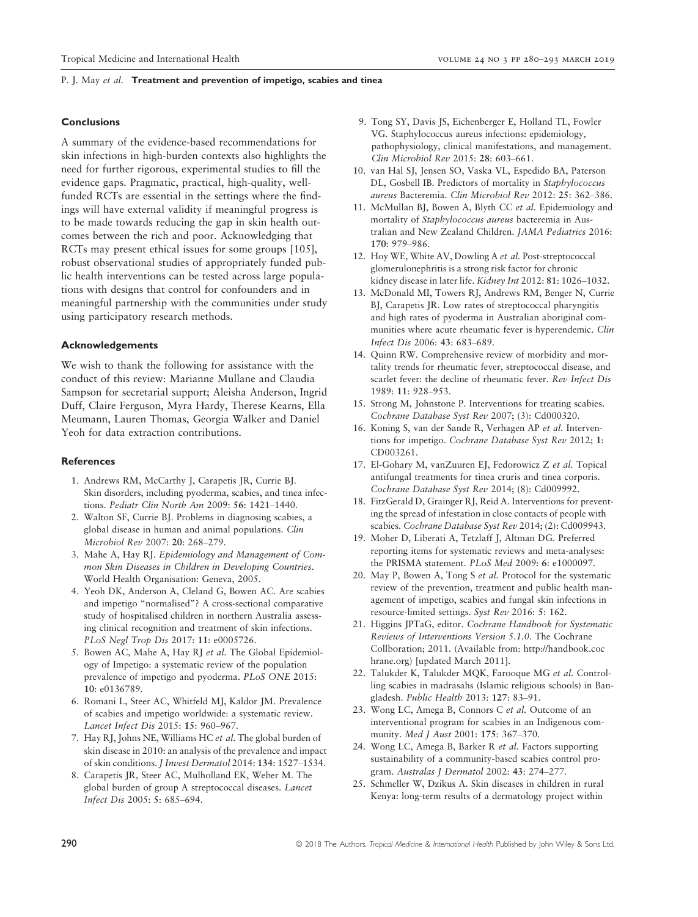### **Conclusions**

A summary of the evidence-based recommendations for skin infections in high-burden contexts also highlights the need for further rigorous, experimental studies to fill the evidence gaps. Pragmatic, practical, high-quality, wellfunded RCTs are essential in the settings where the findings will have external validity if meaningful progress is to be made towards reducing the gap in skin health outcomes between the rich and poor. Acknowledging that RCTs may present ethical issues for some groups [105], robust observational studies of appropriately funded public health interventions can be tested across large populations with designs that control for confounders and in meaningful partnership with the communities under study using participatory research methods.

#### Acknowledgements

We wish to thank the following for assistance with the conduct of this review: Marianne Mullane and Claudia Sampson for secretarial support; Aleisha Anderson, Ingrid Duff, Claire Ferguson, Myra Hardy, Therese Kearns, Ella Meumann, Lauren Thomas, Georgia Walker and Daniel Yeoh for data extraction contributions.

#### References

- 1. Andrews RM, McCarthy J, Carapetis JR, Currie BJ. Skin disorders, including pyoderma, scabies, and tinea infections. Pediatr Clin North Am 2009: 56: 1421–1440.
- 2. Walton SF, Currie BJ. Problems in diagnosing scabies, a global disease in human and animal populations. Clin Microbiol Rev 2007: 20: 268–279.
- 3. Mahe A, Hay RJ. Epidemiology and Management of Common Skin Diseases in Children in Developing Countries. World Health Organisation: Geneva, 2005.
- 4. Yeoh DK, Anderson A, Cleland G, Bowen AC. Are scabies and impetigo "normalised"? A cross-sectional comparative study of hospitalised children in northern Australia assessing clinical recognition and treatment of skin infections. PLoS Negl Trop Dis 2017: 11: e0005726.
- 5. Bowen AC, Mahe A, Hay RJ et al. The Global Epidemiology of Impetigo: a systematic review of the population prevalence of impetigo and pyoderma. PLoS ONE 2015: 10: e0136789.
- 6. Romani L, Steer AC, Whitfeld MJ, Kaldor JM. Prevalence of scabies and impetigo worldwide: a systematic review. Lancet Infect Dis 2015: 15: 960–967.
- 7. Hay RJ, Johns NE, Williams HC et al. The global burden of skin disease in 2010: an analysis of the prevalence and impact of skin conditions. J Invest Dermatol 2014: 134: 1527–1534.
- 8. Carapetis JR, Steer AC, Mulholland EK, Weber M. The global burden of group A streptococcal diseases. Lancet Infect Dis 2005: 5: 685–694.
- 9. Tong SY, Davis JS, Eichenberger E, Holland TL, Fowler VG. Staphylococcus aureus infections: epidemiology, pathophysiology, clinical manifestations, and management. Clin Microbiol Rev 2015: 28: 603–661.
- 10. van Hal SJ, Jensen SO, Vaska VL, Espedido BA, Paterson DL, Gosbell IB. Predictors of mortality in Staphylococcus aureus Bacteremia. Clin Microbiol Rev 2012: 25: 362–386.
- 11. McMullan BJ, Bowen A, Blyth CC et al. Epidemiology and mortality of Staphylococcus aureus bacteremia in Australian and New Zealand Children. JAMA Pediatrics 2016: 170: 979–986.
- 12. Hoy WE, White AV, Dowling A et al. Post-streptococcal glomerulonephritis is a strong risk factor for chronic kidney disease in later life. Kidney Int 2012: 81: 1026–1032.
- 13. McDonald MI, Towers RJ, Andrews RM, Benger N, Currie BJ, Carapetis JR. Low rates of streptococcal pharyngitis and high rates of pyoderma in Australian aboriginal communities where acute rheumatic fever is hyperendemic. Clin Infect Dis 2006: 43: 683–689.
- 14. Quinn RW. Comprehensive review of morbidity and mortality trends for rheumatic fever, streptococcal disease, and scarlet fever: the decline of rheumatic fever. Rev Infect Dis 1989: 11: 928–953.
- 15. Strong M, Johnstone P. Interventions for treating scabies. Cochrane Database Syst Rev 2007; (3): Cd000320.
- 16. Koning S, van der Sande R, Verhagen AP et al. Interventions for impetigo. Cochrane Database Syst Rev 2012; 1: CD003261.
- 17. El-Gohary M, vanZuuren EJ, Fedorowicz Z et al. Topical antifungal treatments for tinea cruris and tinea corporis. Cochrane Database Syst Rev 2014; (8): Cd009992.
- 18. FitzGerald D, Grainger RJ, Reid A. Interventions for preventing the spread of infestation in close contacts of people with scabies. Cochrane Database Syst Rev 2014; (2): Cd009943.
- 19. Moher D, Liberati A, Tetzlaff J, Altman DG. Preferred reporting items for systematic reviews and meta-analyses: the PRISMA statement. PLoS Med 2009: 6: e1000097.
- 20. May P, Bowen A, Tong S et al. Protocol for the systematic review of the prevention, treatment and public health management of impetigo, scabies and fungal skin infections in resource-limited settings. Syst Rev 2016: 5: 162.
- 21. Higgins JPTaG, editor. Cochrane Handbook for Systematic Reviews of Interventions Version 5.1.0. The Cochrane Collboration; 2011. (Available from: [http://handbook.coc](http://handbook.cochrane.org) [hrane.org](http://handbook.cochrane.org)) [updated March 2011].
- 22. Talukder K, Talukder MQK, Farooque MG et al. Controlling scabies in madrasahs (Islamic religious schools) in Bangladesh. Public Health 2013: 127: 83–91.
- 23. Wong LC, Amega B, Connors C et al. Outcome of an interventional program for scabies in an Indigenous community. Med J Aust 2001: 175: 367–370.
- 24. Wong LC, Amega B, Barker R et al. Factors supporting sustainability of a community-based scabies control program. Australas J Dermatol 2002: 43: 274–277.
- 25. Schmeller W, Dzikus A. Skin diseases in children in rural Kenya: long-term results of a dermatology project within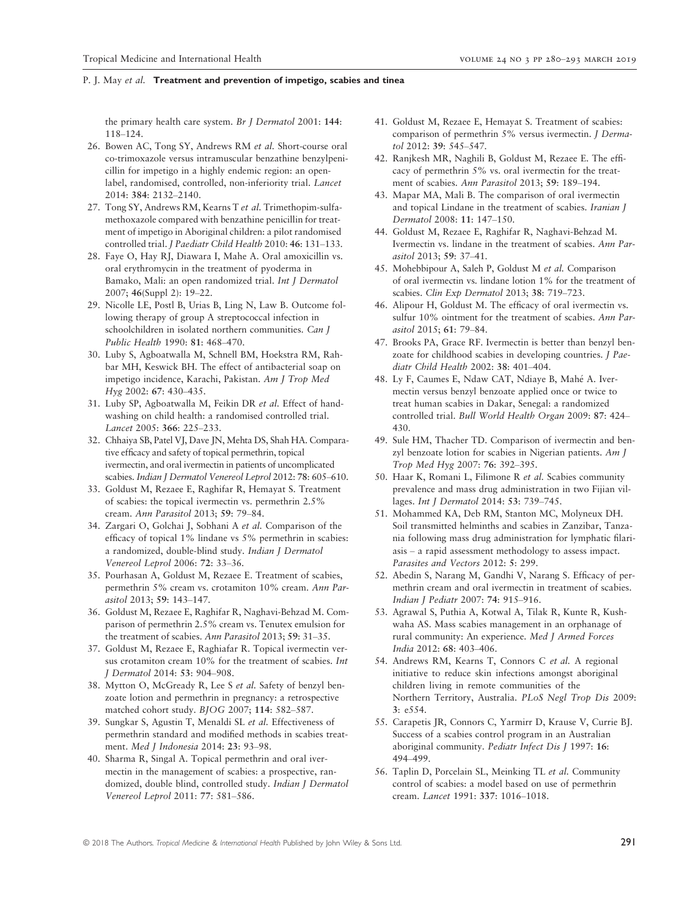the primary health care system. Br J Dermatol 2001: 144: 118–124.

- 26. Bowen AC, Tong SY, Andrews RM et al. Short-course oral co-trimoxazole versus intramuscular benzathine benzylpenicillin for impetigo in a highly endemic region: an openlabel, randomised, controlled, non-inferiority trial. Lancet 2014: 384: 2132–2140.
- 27. Tong SY, Andrews RM, Kearns T et al. Trimethopim-sulfamethoxazole compared with benzathine penicillin for treatment of impetigo in Aboriginal children: a pilot randomised controlled trial. J Paediatr Child Health 2010: 46: 131–133.
- 28. Faye O, Hay RJ, Diawara I, Mahe A. Oral amoxicillin vs. oral erythromycin in the treatment of pyoderma in Bamako, Mali: an open randomized trial. Int J Dermatol 2007; 46(Suppl 2): 19–22.
- 29. Nicolle LE, Postl B, Urias B, Ling N, Law B. Outcome following therapy of group A streptococcal infection in schoolchildren in isolated northern communities. Can J Public Health 1990: 81: 468–470.
- 30. Luby S, Agboatwalla M, Schnell BM, Hoekstra RM, Rahbar MH, Keswick BH. The effect of antibacterial soap on impetigo incidence, Karachi, Pakistan. Am J Trop Med Hyg 2002: 67: 430–435.
- 31. Luby SP, Agboatwalla M, Feikin DR et al. Effect of handwashing on child health: a randomised controlled trial. Lancet 2005: 366: 225–233.
- 32. Chhaiya SB, Patel VJ, Dave JN, Mehta DS, Shah HA. Comparative efficacy and safety of topical permethrin, topical ivermectin, and oral ivermectin in patients of uncomplicated scabies. Indian J Dermatol Venereol Leprol 2012: 78: 605-610.
- 33. Goldust M, Rezaee E, Raghifar R, Hemayat S. Treatment of scabies: the topical ivermectin vs. permethrin 2.5% cream. Ann Parasitol 2013; 59: 79–84.
- 34. Zargari O, Golchai J, Sobhani A et al. Comparison of the efficacy of topical 1% lindane vs 5% permethrin in scabies: a randomized, double-blind study. Indian J Dermatol Venereol Leprol 2006: 72: 33–36.
- 35. Pourhasan A, Goldust M, Rezaee E. Treatment of scabies, permethrin 5% cream vs. crotamiton 10% cream. Ann Parasitol 2013; 59: 143–147.
- 36. Goldust M, Rezaee E, Raghifar R, Naghavi-Behzad M. Comparison of permethrin 2.5% cream vs. Tenutex emulsion for the treatment of scabies. Ann Parasitol 2013; 59: 31–35.
- 37. Goldust M, Rezaee E, Raghiafar R. Topical ivermectin versus crotamiton cream 10% for the treatment of scabies. Int J Dermatol 2014: 53: 904–908.
- 38. Mytton O, McGready R, Lee S et al. Safety of benzyl benzoate lotion and permethrin in pregnancy: a retrospective matched cohort study. BJOG 2007; 114: 582–587.
- 39. Sungkar S, Agustin T, Menaldi SL et al. Effectiveness of permethrin standard and modified methods in scabies treatment. Med J Indonesia 2014: 23: 93–98.
- 40. Sharma R, Singal A. Topical permethrin and oral ivermectin in the management of scabies: a prospective, randomized, double blind, controlled study. Indian J Dermatol Venereol Leprol 2011: 77: 581–586.
- 41. Goldust M, Rezaee E, Hemayat S. Treatment of scabies: comparison of permethrin 5% versus ivermectin. J Dermatol 2012: 39: 545–547.
- 42. Ranjkesh MR, Naghili B, Goldust M, Rezaee E. The efficacy of permethrin 5% vs. oral ivermectin for the treatment of scabies. Ann Parasitol 2013; 59: 189–194.
- 43. Mapar MA, Mali B. The comparison of oral ivermectin and topical Lindane in the treatment of scabies. Iranian J Dermatol 2008: 11: 147–150.
- 44. Goldust M, Rezaee E, Raghifar R, Naghavi-Behzad M. Ivermectin vs. lindane in the treatment of scabies. Ann Parasitol 2013; 59: 37–41.
- 45. Mohebbipour A, Saleh P, Goldust M et al. Comparison of oral ivermectin vs. lindane lotion 1% for the treatment of scabies. Clin Exp Dermatol 2013; 38: 719–723.
- 46. Alipour H, Goldust M. The efficacy of oral ivermectin vs. sulfur 10% ointment for the treatment of scabies. Ann Parasitol 2015; 61: 79–84.
- 47. Brooks PA, Grace RF. Ivermectin is better than benzyl benzoate for childhood scabies in developing countries. J Paediatr Child Health 2002: 38: 401–404.
- 48. Ly F, Caumes E, Ndaw CAT, Ndiaye B, Mahe A. Ivermectin versus benzyl benzoate applied once or twice to treat human scabies in Dakar, Senegal: a randomized controlled trial. Bull World Health Organ 2009: 87: 424– 430.
- 49. Sule HM, Thacher TD. Comparison of ivermectin and benzyl benzoate lotion for scabies in Nigerian patients. Am J Trop Med Hyg 2007: 76: 392–395.
- 50. Haar K, Romani L, Filimone R et al. Scabies community prevalence and mass drug administration in two Fijian villages. Int J Dermatol 2014: 53: 739–745.
- 51. Mohammed KA, Deb RM, Stanton MC, Molyneux DH. Soil transmitted helminths and scabies in Zanzibar, Tanzania following mass drug administration for lymphatic filariasis – a rapid assessment methodology to assess impact. Parasites and Vectors 2012: 5: 299.
- 52. Abedin S, Narang M, Gandhi V, Narang S. Efficacy of permethrin cream and oral ivermectin in treatment of scabies. Indian J Pediatr 2007: 74: 915–916.
- 53. Agrawal S, Puthia A, Kotwal A, Tilak R, Kunte R, Kushwaha AS. Mass scabies management in an orphanage of rural community: An experience. Med J Armed Forces India 2012: 68: 403–406.
- 54. Andrews RM, Kearns T, Connors C et al. A regional initiative to reduce skin infections amongst aboriginal children living in remote communities of the Northern Territory, Australia. PLoS Negl Trop Dis 2009: 3: e554.
- 55. Carapetis JR, Connors C, Yarmirr D, Krause V, Currie BJ. Success of a scabies control program in an Australian aboriginal community. Pediatr Infect Dis J 1997: 16: 494–499.
- 56. Taplin D, Porcelain SL, Meinking TL et al. Community control of scabies: a model based on use of permethrin cream. Lancet 1991: 337: 1016–1018.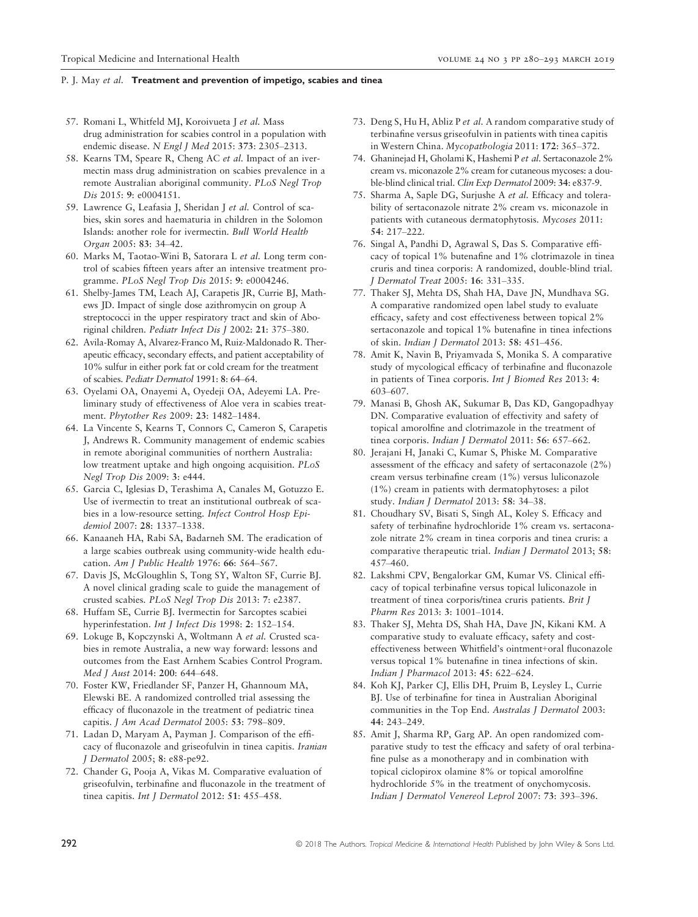- 57. Romani L, Whitfeld MJ, Koroivueta J et al. Mass drug administration for scabies control in a population with endemic disease. N Engl J Med 2015: 373: 2305–2313.
- 58. Kearns TM, Speare R, Cheng AC et al. Impact of an ivermectin mass drug administration on scabies prevalence in a remote Australian aboriginal community. PLoS Negl Trop Dis 2015: 9: e0004151.
- 59. Lawrence G, Leafasia J, Sheridan J et al. Control of scabies, skin sores and haematuria in children in the Solomon Islands: another role for ivermectin. Bull World Health Organ 2005: 83: 34–42.
- 60. Marks M, Taotao-Wini B, Satorara L et al. Long term control of scabies fifteen years after an intensive treatment programme. PLoS Negl Trop Dis 2015: 9: e0004246.
- 61. Shelby-James TM, Leach AJ, Carapetis JR, Currie BJ, Mathews JD. Impact of single dose azithromycin on group A streptococci in the upper respiratory tract and skin of Aboriginal children. Pediatr Infect Dis J 2002: 21: 375–380.
- 62. Avila-Romay A, Alvarez-Franco M, Ruiz-Maldonado R. Therapeutic efficacy, secondary effects, and patient acceptability of 10% sulfur in either pork fat or cold cream for the treatment of scabies. Pediatr Dermatol 1991: 8: 64–64.
- 63. Oyelami OA, Onayemi A, Oyedeji OA, Adeyemi LA. Preliminary study of effectiveness of Aloe vera in scabies treatment. Phytother Res 2009: 23: 1482–1484.
- 64. La Vincente S, Kearns T, Connors C, Cameron S, Carapetis J, Andrews R. Community management of endemic scabies in remote aboriginal communities of northern Australia: low treatment uptake and high ongoing acquisition. PLoS Negl Trop Dis 2009: 3: e444.
- 65. Garcia C, Iglesias D, Terashima A, Canales M, Gotuzzo E. Use of ivermectin to treat an institutional outbreak of scabies in a low-resource setting. Infect Control Hosp Epidemiol 2007: 28: 1337–1338.
- 66. Kanaaneh HA, Rabi SA, Badarneh SM. The eradication of a large scabies outbreak using community-wide health education. Am J Public Health 1976: 66: 564–567.
- 67. Davis JS, McGloughlin S, Tong SY, Walton SF, Currie BJ. A novel clinical grading scale to guide the management of crusted scabies. PLoS Negl Trop Dis 2013: 7: e2387.
- 68. Huffam SE, Currie BJ. Ivermectin for Sarcoptes scabiei hyperinfestation. Int J Infect Dis 1998: 2: 152–154.
- 69. Lokuge B, Kopczynski A, Woltmann A et al. Crusted scabies in remote Australia, a new way forward: lessons and outcomes from the East Arnhem Scabies Control Program. Med J Aust 2014: 200: 644–648.
- 70. Foster KW, Friedlander SF, Panzer H, Ghannoum MA, Elewski BE. A randomized controlled trial assessing the efficacy of fluconazole in the treatment of pediatric tinea capitis. J Am Acad Dermatol 2005: 53: 798–809.
- 71. Ladan D, Maryam A, Payman J. Comparison of the efficacy of fluconazole and griseofulvin in tinea capitis. Iranian J Dermatol 2005; 8: e88-pe92.
- 72. Chander G, Pooja A, Vikas M. Comparative evaluation of griseofulvin, terbinafine and fluconazole in the treatment of tinea capitis. Int J Dermatol 2012: 51: 455–458.
- 73. Deng S, Hu H, Abliz P et al. A random comparative study of terbinafine versus griseofulvin in patients with tinea capitis in Western China. Mycopathologia 2011: 172: 365–372.
- 74. Ghaninejad H, Gholami K, Hashemi P et al. Sertaconazole 2% cream vs. miconazole 2% cream for cutaneous mycoses: a double-blind clinical trial. Clin Exp Dermatol 2009: 34: e837-9.
- 75. Sharma A, Saple DG, Surjushe A et al. Efficacy and tolerability of sertaconazole nitrate 2% cream vs. miconazole in patients with cutaneous dermatophytosis. Mycoses 2011: 54: 217–222.
- 76. Singal A, Pandhi D, Agrawal S, Das S. Comparative efficacy of topical 1% butenafine and 1% clotrimazole in tinea cruris and tinea corporis: A randomized, double-blind trial. J Dermatol Treat 2005: 16: 331–335.
- 77. Thaker SJ, Mehta DS, Shah HA, Dave JN, Mundhava SG. A comparative randomized open label study to evaluate efficacy, safety and cost effectiveness between topical 2% sertaconazole and topical 1% butenafine in tinea infections of skin. Indian J Dermatol 2013: 58: 451–456.
- 78. Amit K, Navin B, Priyamvada S, Monika S. A comparative study of mycological efficacy of terbinafine and fluconazole in patients of Tinea corporis. Int J Biomed Res 2013: 4: 603–607.
- 79. Manasi B, Ghosh AK, Sukumar B, Das KD, Gangopadhyay DN. Comparative evaluation of effectivity and safety of topical amorolfine and clotrimazole in the treatment of tinea corporis. Indian J Dermatol 2011: 56: 657-662.
- 80. Jerajani H, Janaki C, Kumar S, Phiske M. Comparative assessment of the efficacy and safety of sertaconazole (2%) cream versus terbinafine cream (1%) versus luliconazole (1%) cream in patients with dermatophytoses: a pilot study. Indian J Dermatol 2013: 58: 34–38.
- 81. Choudhary SV, Bisati S, Singh AL, Koley S. Efficacy and safety of terbinafine hydrochloride 1% cream vs. sertaconazole nitrate 2% cream in tinea corporis and tinea cruris: a comparative therapeutic trial. Indian J Dermatol 2013; 58: 457–460.
- 82. Lakshmi CPV, Bengalorkar GM, Kumar VS. Clinical efficacy of topical terbinafine versus topical luliconazole in treatment of tinea corporis/tinea cruris patients. Brit J Pharm Res 2013: 3: 1001–1014.
- 83. Thaker SJ, Mehta DS, Shah HA, Dave JN, Kikani KM. A comparative study to evaluate efficacy, safety and costeffectiveness between Whitfield's ointment+oral fluconazole versus topical 1% butenafine in tinea infections of skin. Indian J Pharmacol 2013: 45: 622–624.
- 84. Koh KJ, Parker CJ, Ellis DH, Pruim B, Leysley L, Currie BJ. Use of terbinafine for tinea in Australian Aboriginal communities in the Top End. Australas J Dermatol 2003: 44: 243–249.
- 85. Amit J, Sharma RP, Garg AP. An open randomized comparative study to test the efficacy and safety of oral terbinafine pulse as a monotherapy and in combination with topical ciclopirox olamine 8% or topical amorolfine hydrochloride 5% in the treatment of onychomycosis. Indian J Dermatol Venereol Leprol 2007: 73: 393–396.